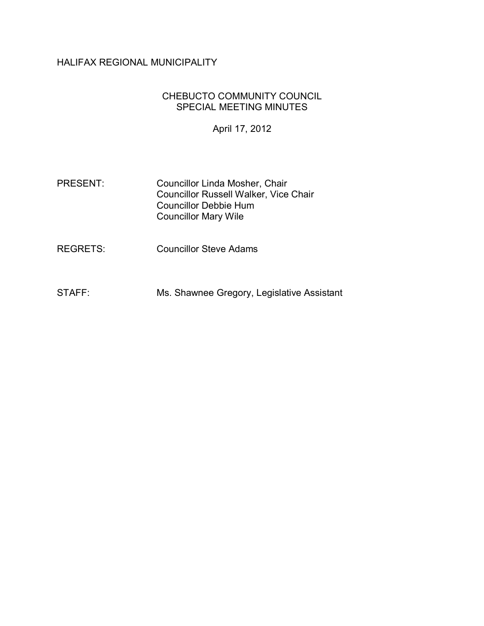# HALIFAX REGIONAL MUNICIPALITY

#### CHEBUCTO COMMUNITY COUNCIL SPECIAL MEETING MINUTES

April 17, 2012

- PRESENT: Councillor Linda Mosher, Chair Councillor Russell Walker, Vice Chair Councillor Debbie Hum Councillor Mary Wile
- REGRETS: Councillor Steve Adams
- STAFF: Ms. Shawnee Gregory, Legislative Assistant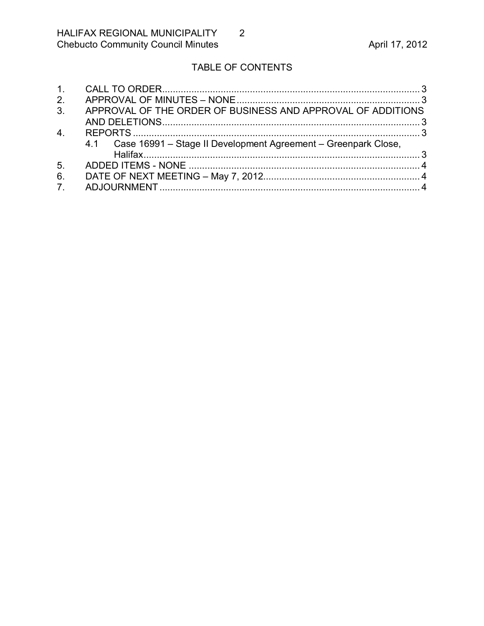# TABLE OF CONTENTS

| 1.             |                                                                    |  |
|----------------|--------------------------------------------------------------------|--|
| 2.             |                                                                    |  |
| 3.             | APPROVAL OF THE ORDER OF BUSINESS AND APPROVAL OF ADDITIONS        |  |
|                |                                                                    |  |
| 4.             |                                                                    |  |
|                | 4.1 Case 16991 – Stage II Development Agreement – Greenpark Close, |  |
|                |                                                                    |  |
| 5 <sub>1</sub> |                                                                    |  |
| 6.             |                                                                    |  |
| 7 <sup>1</sup> |                                                                    |  |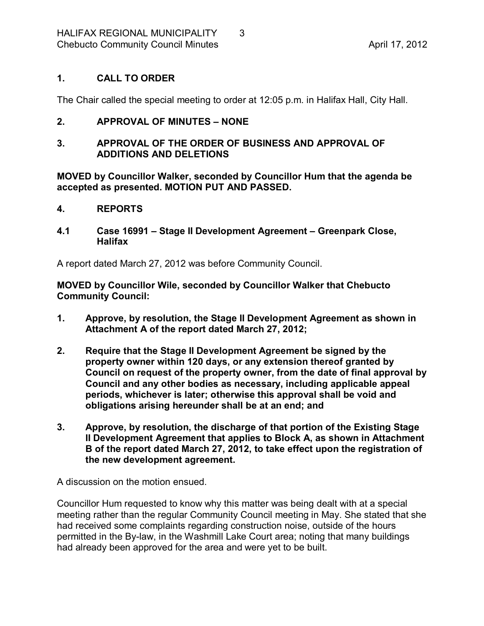### <span id="page-2-0"></span>**1. CALL TO ORDER**

The Chair called the special meeting to order at 12:05 p.m. in Halifax Hall, City Hall.

### <span id="page-2-1"></span>**2. APPROVAL OF MINUTES – NONE**

#### <span id="page-2-2"></span>**3. APPROVAL OF THE ORDER OF BUSINESS AND APPROVAL OF ADDITIONS AND DELETIONS**

**MOVED by Councillor Walker, seconded by Councillor Hum that the agenda be accepted as presented. MOTION PUT AND PASSED.** 

#### <span id="page-2-3"></span>**4. REPORTS**

<span id="page-2-4"></span>**4.1 Case 16991 – Stage II Development Agreement – Greenpark Close, Halifax**

A report dated March 27, 2012 was before Community Council.

**MOVED by Councillor Wile, seconded by Councillor Walker that Chebucto Community Council:**

- **1. Approve, by resolution, the Stage II Development Agreement as shown in Attachment A of the report dated March 27, 2012;**
- **2. Require that the Stage II Development Agreement be signed by the property owner within 120 days, or any extension thereof granted by Council on request of the property owner, from the date of final approval by Council and any other bodies as necessary, including applicable appeal periods, whichever is later; otherwise this approval shall be void and obligations arising hereunder shall be at an end; and**
- **3. Approve, by resolution, the discharge of that portion of the Existing Stage II Development Agreement that applies to Block A, as shown in Attachment B of the report dated March 27, 2012, to take effect upon the registration of the new development agreement.**

A discussion on the motion ensued.

Councillor Hum requested to know why this matter was being dealt with at a special meeting rather than the regular Community Council meeting in May. She stated that she had received some complaints regarding construction noise, outside of the hours permitted in the By-law, in the Washmill Lake Court area; noting that many buildings had already been approved for the area and were yet to be built.